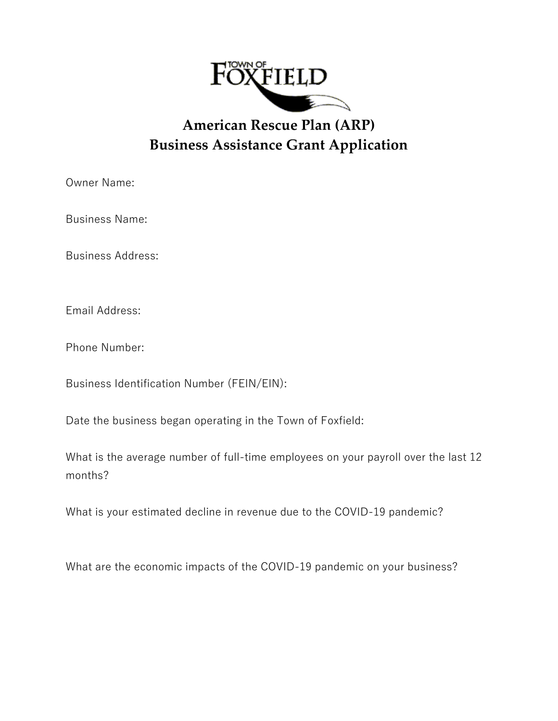

## **American Rescue Plan (ARP) Business Assistance Grant Application**

Owner Name:

Business Name:

Business Address:

Email Address:

Phone Number:

Business Identification Number (FEIN/EIN):

Date the business began operating in the Town of Foxfield:

What is the average number of full-time employees on your payroll over the last 12 months?

What is your estimated decline in revenue due to the COVID-19 pandemic?

What are the economic impacts of the COVID-19 pandemic on your business?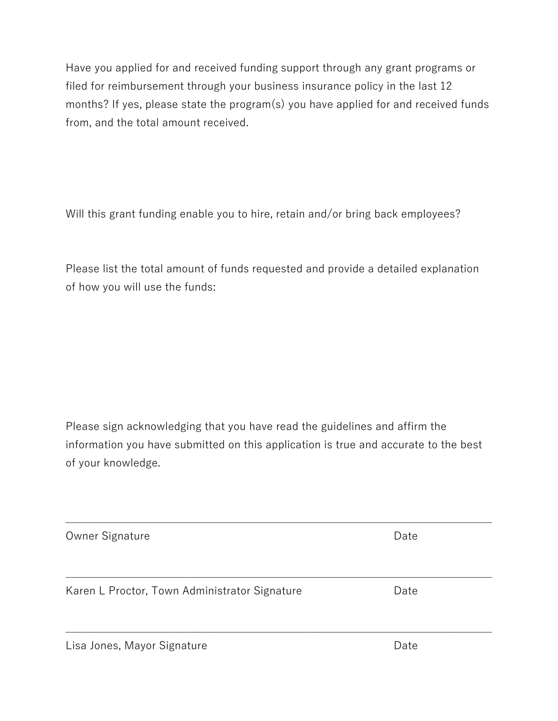Have you applied for and received funding support through any grant programs or filed for reimbursement through your business insurance policy in the last 12 months? If yes, please state the program(s) you have applied for and received funds from, and the total amount received.

Will this grant funding enable you to hire, retain and/or bring back employees?

Please list the total amount of funds requested and provide a detailed explanation of how you will use the funds:

Please sign acknowledging that you have read the guidelines and affirm the information you have submitted on this application is true and accurate to the best of your knowledge.

| Owner Signature                               | Date |  |
|-----------------------------------------------|------|--|
| Karen L Proctor, Town Administrator Signature | Date |  |
|                                               |      |  |
| Lisa Jones, Mayor Signature                   | Date |  |